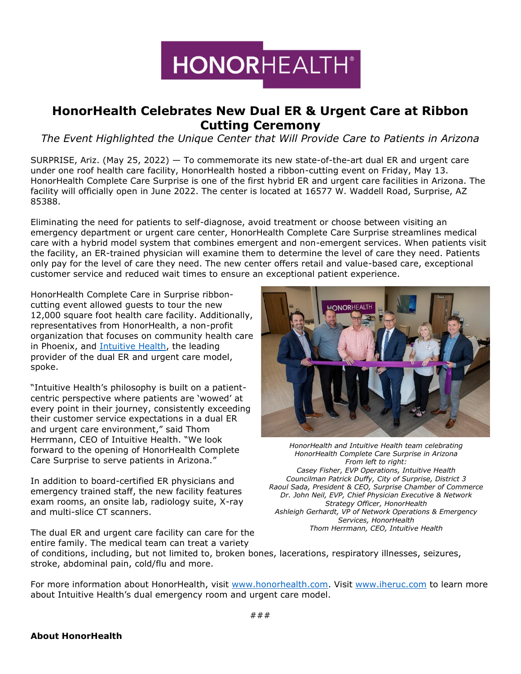

## **HonorHealth Celebrates New Dual ER & Urgent Care at Ribbon Cutting Ceremony**

*The Event Highlighted the Unique Center that Will Provide Care to Patients in Arizona*

SURPRISE, Ariz. (May 25, 2022) — To commemorate its new state-of-the-art dual ER and urgent care under one roof health care facility, HonorHealth hosted a ribbon-cutting event on Friday, May 13. HonorHealth Complete Care Surprise is one of the first hybrid ER and urgent care facilities in Arizona. The facility will officially open in June 2022. The center is located at 16577 W. Waddell Road, Surprise, AZ 85388.

Eliminating the need for patients to self-diagnose, avoid treatment or choose between visiting an emergency department or urgent care center, HonorHealth Complete Care Surprise streamlines medical care with a hybrid model system that combines emergent and non-emergent services. When patients visit the facility, an ER-trained physician will examine them to determine the level of care they need. Patients only pay for the level of care they need. The new center offers retail and value-based care, exceptional customer service and reduced wait times to ensure an exceptional patient experience.

HonorHealth Complete Care in Surprise ribboncutting event allowed guests to tour the new 12,000 square foot health care facility. Additionally, representatives from HonorHealth, a non-profit organization that focuses on community health care in Phoenix, and [Intuitive Health,](https://www.iheruc.com/about-us/?utm_source=intuitive+health+press+release&utm_medium=iheruc.com&utm_campaign=honorhealth+ribbon+cutting+may+2022&utm_content=intuitive+health+hyperlink+1) the leading provider of the dual ER and urgent care model, spoke.

"Intuitive Health's philosophy is built on a patientcentric perspective where patients are 'wowed' at every point in their journey, consistently exceeding their customer service expectations in a dual ER and urgent care environment," said Thom Herrmann, CEO of Intuitive Health. "We look forward to the opening of HonorHealth Complete Care Surprise to serve patients in Arizona."

In addition to board-certified ER physicians and emergency trained staff, the new facility features exam rooms, an onsite lab, radiology suite, X-ray and multi-slice CT scanners.

The dual ER and urgent care facility can care for the



*HonorHealth and Intuitive Health team celebrating HonorHealth Complete Care Surprise in Arizona From left to right: Casey Fisher, EVP Operations, Intuitive Health Councilman Patrick Duffy, City of Surprise, District 3 Raoul Sada, President & CEO, Surprise Chamber of Commerce Dr. John Neil, EVP, Chief Physician Executive & Network Strategy Officer, HonorHealth Ashleigh Gerhardt, VP of Network Operations & Emergency Services, HonorHealth Thom Herrmann, CEO, Intuitive Health*

entire family. The medical team can treat a variety of conditions, including, but not limited to, broken bones, lacerations, respiratory illnesses, seizures, stroke, abdominal pain, cold/flu and more.

For more information about HonorHealth, visit [www.honorhealth.com.](http://www.honorhealth.com/) Visit [www.iheruc.com](https://www.iheruc.com/about-us/?utm_source=intuitive+health+press+release&utm_medium=iheruc.com&utm_campaign=honorhealth+ribbon+cutting+may+2022&utm_content=intuitive+health+hyperlink+2) to learn more about Intuitive Health's dual emergency room and urgent care model.